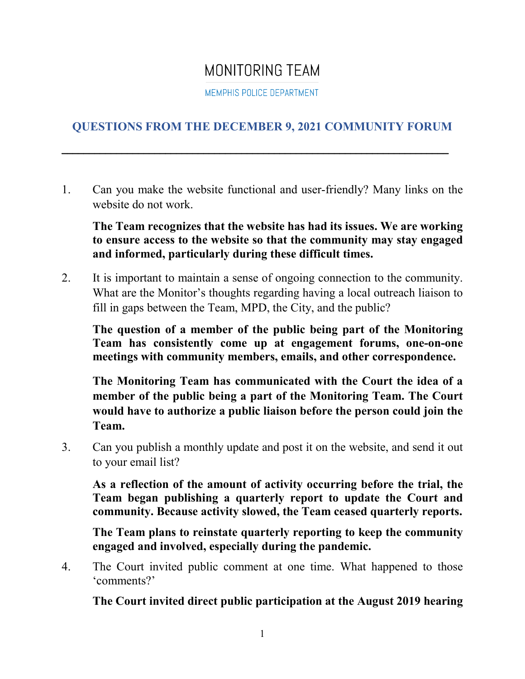## MONITORING TEAM

MEMPHIS POLICE DEPARTMENT

## **QUESTIONS FROM THE DECEMBER 9, 2021 COMMUNITY FORUM**

\_\_\_\_\_\_\_\_\_\_\_\_\_\_\_\_\_\_\_\_\_\_\_\_\_\_\_\_\_\_\_\_\_\_\_\_\_\_\_\_\_\_\_\_\_\_\_\_\_\_\_\_\_\_\_\_\_\_\_\_\_\_\_\_\_\_\_\_\_\_\_

1. Can you make the website functional and user-friendly? Many links on the website do not work.

**The Team recognizes that the website has had its issues. We are working to ensure access to the website so that the community may stay engaged and informed, particularly during these difficult times.** 

2. It is important to maintain a sense of ongoing connection to the community. What are the Monitor's thoughts regarding having a local outreach liaison to fill in gaps between the Team, MPD, the City, and the public?

**The question of a member of the public being part of the Monitoring Team has consistently come up at engagement forums, one-on-one meetings with community members, emails, and other correspondence.** 

**The Monitoring Team has communicated with the Court the idea of a member of the public being a part of the Monitoring Team. The Court would have to authorize a public liaison before the person could join the Team.** 

3. Can you publish a monthly update and post it on the website, and send it out to your email list?

**As a reflection of the amount of activity occurring before the trial, the Team began publishing a quarterly report to update the Court and community. Because activity slowed, the Team ceased quarterly reports.** 

**The Team plans to reinstate quarterly reporting to keep the community engaged and involved, especially during the pandemic.** 

4. The Court invited public comment at one time. What happened to those 'comments?'

**The Court invited direct public participation at the August 2019 hearing**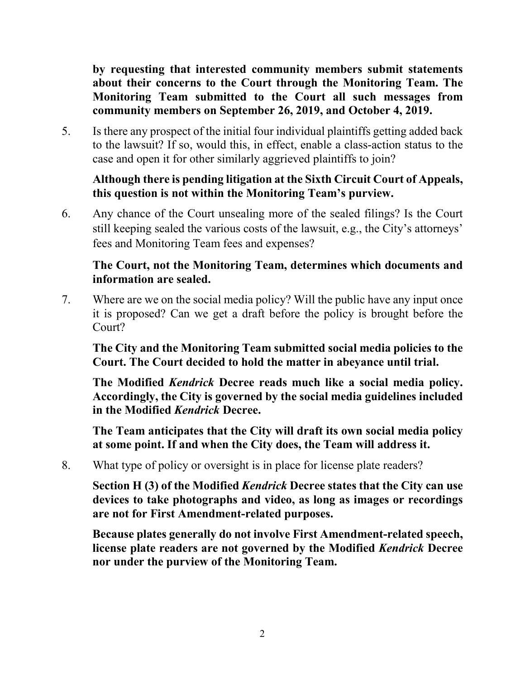**by requesting that interested community members submit statements about their concerns to the Court through the Monitoring Team. The Monitoring Team submitted to the Court all such messages from community members on September 26, 2019, and October 4, 2019.** 

5. Is there any prospect of the initial four individual plaintiffs getting added back to the lawsuit? If so, would this, in effect, enable a class-action status to the case and open it for other similarly aggrieved plaintiffs to join?

## **Although there is pending litigation at the Sixth Circuit Court of Appeals, this question is not within the Monitoring Team's purview.**

6. Any chance of the Court unsealing more of the sealed filings? Is the Court still keeping sealed the various costs of the lawsuit, e.g., the City's attorneys' fees and Monitoring Team fees and expenses?

## **The Court, not the Monitoring Team, determines which documents and information are sealed.**

7. Where are we on the social media policy? Will the public have any input once it is proposed? Can we get a draft before the policy is brought before the Court?

**The City and the Monitoring Team submitted social media policies to the Court. The Court decided to hold the matter in abeyance until trial.** 

**The Modified** *Kendrick* **Decree reads much like a social media policy. Accordingly, the City is governed by the social media guidelines included in the Modified** *Kendrick* **Decree.** 

**The Team anticipates that the City will draft its own social media policy at some point. If and when the City does, the Team will address it.**

8. What type of policy or oversight is in place for license plate readers?

**Section H (3) of the Modified** *Kendrick* **Decree states that the City can use devices to take photographs and video, as long as images or recordings are not for First Amendment-related purposes.** 

**Because plates generally do not involve First Amendment-related speech, license plate readers are not governed by the Modified** *Kendrick* **Decree nor under the purview of the Monitoring Team.**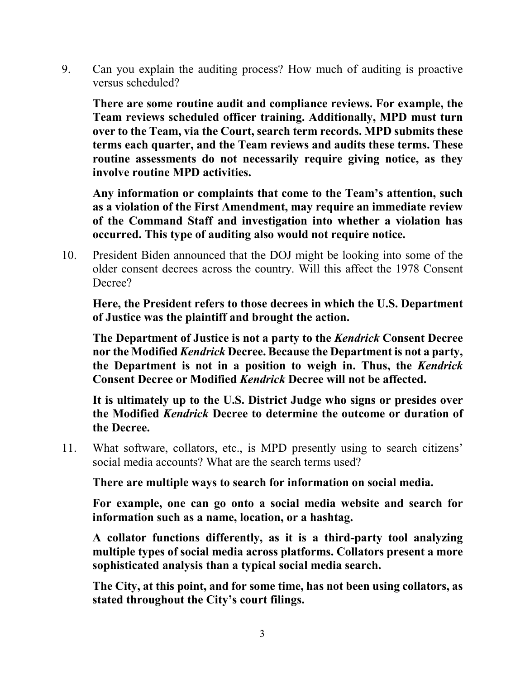9. Can you explain the auditing process? How much of auditing is proactive versus scheduled?

**There are some routine audit and compliance reviews. For example, the Team reviews scheduled officer training. Additionally, MPD must turn over to the Team, via the Court, search term records. MPD submits these terms each quarter, and the Team reviews and audits these terms. These routine assessments do not necessarily require giving notice, as they involve routine MPD activities.** 

**Any information or complaints that come to the Team's attention, such as a violation of the First Amendment, may require an immediate review of the Command Staff and investigation into whether a violation has occurred. This type of auditing also would not require notice.** 

10. President Biden announced that the DOJ might be looking into some of the older consent decrees across the country. Will this affect the 1978 Consent Decree?

**Here, the President refers to those decrees in which the U.S. Department of Justice was the plaintiff and brought the action.**

**The Department of Justice is not a party to the** *Kendrick* **Consent Decree nor the Modified** *Kendrick* **Decree. Because the Department is not a party, the Department is not in a position to weigh in. Thus, the** *Kendrick*  **Consent Decree or Modified** *Kendrick* **Decree will not be affected.**

**It is ultimately up to the U.S. District Judge who signs or presides over the Modified** *Kendrick* **Decree to determine the outcome or duration of the Decree.**

11. What software, collators, etc., is MPD presently using to search citizens' social media accounts? What are the search terms used?

**There are multiple ways to search for information on social media.** 

**For example, one can go onto a social media website and search for information such as a name, location, or a hashtag.** 

**A collator functions differently, as it is a third-party tool analyzing multiple types of social media across platforms. Collators present a more sophisticated analysis than a typical social media search.** 

**The City, at this point, and for some time, has not been using collators, as stated throughout the City's court filings.**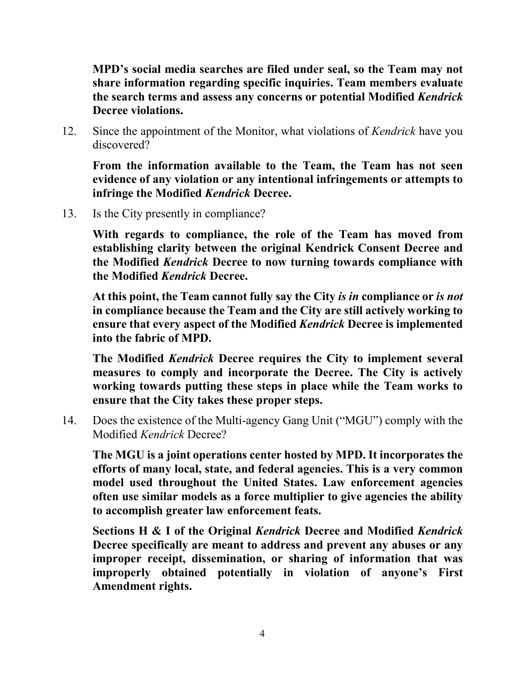**MPD's social media searches are filed under seal, so the Team may not share information regarding specific inquiries. Team members evaluate the search terms and assess any concerns or potential Modified** *Kendrick*  **Decree violations.** 

12. Since the appointment of the Monitor, what violations of *Kendrick* have you discovered?

**From the information available to the Team, the Team has not seen evidence of any violation or any intentional infringements or attempts to infringe the Modified** *Kendrick* **Decree.**

13. Is the City presently in compliance?

**With regards to compliance, the role of the Team has moved from establishing clarity between the original Kendrick Consent Decree and the Modified** *Kendrick* **Decree to now turning towards compliance with the Modified** *Kendrick* **Decree.** 

**At this point, the Team cannot fully say the City** *is in* **compliance or** *is not*  **in compliance because the Team and the City are still actively working to ensure that every aspect of the Modified** *Kendrick* **Decree is implemented into the fabric of MPD.** 

**The Modified** *Kendrick* **Decree requires the City to implement several measures to comply and incorporate the Decree. The City is actively working towards putting these steps in place while the Team works to ensure that the City takes these proper steps.**

14. Does the existence of the Multi-agency Gang Unit ("MGU") comply with the Modified *Kendrick* Decree?

**The MGU is a joint operations center hosted by MPD. It incorporates the efforts of many local, state, and federal agencies. This is a very common model used throughout the United States. Law enforcement agencies often use similar models as a force multiplier to give agencies the ability to accomplish greater law enforcement feats.** 

**Sections H & I of the Original** *Kendrick* **Decree and Modified** *Kendrick* **Decree specifically are meant to address and prevent any abuses or any improper receipt, dissemination, or sharing of information that was improperly obtained potentially in violation of anyone's First Amendment rights.**